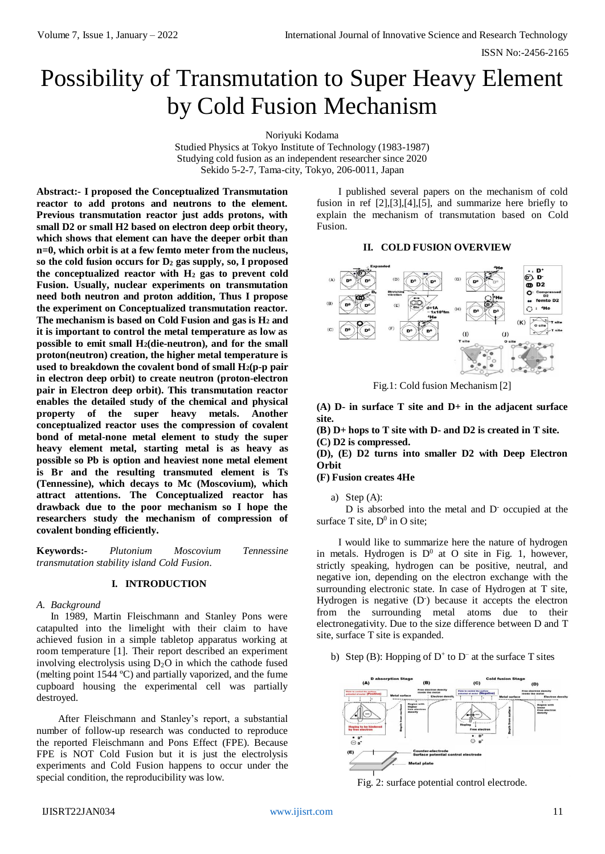# Possibility of Transmutation to Super Heavy Element by Cold Fusion Mechanism

Noriyuki Kodama

Studied Physics at Tokyo Institute of Technology (1983-1987) Studying cold fusion as an independent researcher since 2020 Sekido 5-2-7, Tama-city, Tokyo, 206-0011, Japan

**Abstract:- I proposed the Conceptualized Transmutation reactor to add protons and neutrons to the element. Previous transmutation reactor just adds protons, with small D2 or small H2 based on electron deep orbit theory, which shows that element can have the deeper orbit than n=0, which orbit is at a few femto meter from the nucleus, so the cold fusion occurs for D<sup>2</sup> gas supply, so, I proposed the conceptualized reactor with H<sup>2</sup> gas to prevent cold Fusion. Usually, nuclear experiments on transmutation need both neutron and proton addition, Thus I propose the experiment on Conceptualized transmutation reactor. The mechanism is based on Cold Fusion and gas is H<sup>2</sup> and it is important to control the metal temperature as low as possible to emit small H2(die-neutron), and for the small proton(neutron) creation, the higher metal temperature is used to breakdown the covalent bond of small H2(p-p pair in electron deep orbit) to create neutron (proton-electron pair in Electron deep orbit). This transmutation reactor enables the detailed study of the chemical and physical property of the super heavy metals. Another conceptualized reactor uses the compression of covalent bond of metal-none metal element to study the super heavy element metal, starting metal is as heavy as possible so Pb is option and heaviest none metal element is Br and the resulting transmuted element is Ts (Tennessine), which decays to Mc (Moscovium), which attract attentions. The Conceptualized reactor has drawback due to the poor mechanism so I hope the researchers study the mechanism of compression of covalent bonding efficiently.**

**Keywords:-** *Plutonium Moscovium Tennessine transmutation stability island Cold Fusion.*

#### **I. INTRODUCTION**

#### *A. Background*

In 1989, Martin Fleischmann and Stanley Pons were catapulted into the limelight with their claim to have achieved fusion in a simple tabletop apparatus working at room temperature [1]. Their report described an experiment involving electrolysis using  $D_2O$  in which the cathode fused (melting point 1544 ºC) and partially vaporized, and the fume cupboard housing the experimental cell was partially destroyed.

After Fleischmann and Stanley's report, a substantial number of follow-up research was conducted to reproduce the reported Fleischmann and Pons Effect (FPE). Because FPE is NOT Cold Fusion but it is just the electrolysis experiments and Cold Fusion happens to occur under the special condition, the reproducibility was low.

I published several papers on the mechanism of cold fusion in ref [2],[3],[4],[5], and summarize here briefly to explain the mechanism of transmutation based on Cold Fusion.

#### **II. COLD FUSION OVERVIEW**



Fig.1: Cold fusion Mechanism [2]

**(A) D- in surface T site and D+ in the adjacent surface site.**

**(B) D+ hops to T site with D- and D2 is created in T site. (C) D2 is compressed.**

**(D), (E) D2 turns into smaller D2 with Deep Electron Orbit**

#### **(F) Fusion creates 4He**

a) Step (A):

D is absorbed into the metal and D<sup>-</sup> occupied at the surface T site,  $D^0$  in O site;

I would like to summarize here the nature of hydrogen in metals. Hydrogen is  $D^0$  at O site in Fig. 1, however, strictly speaking, hydrogen can be positive, neutral, and negative ion, depending on the electron exchange with the surrounding electronic state. In case of Hydrogen at T site, Hydrogen is negative (D<sup>-</sup>) because it accepts the electron from the surrounding metal atoms due to their electronegativity. Due to the size difference between D and T site, surface T site is expanded.

b) Step (B): Hopping of  $D^+$  to  $D^-$  at the surface T sites



Fig. 2: surface potential control electrode.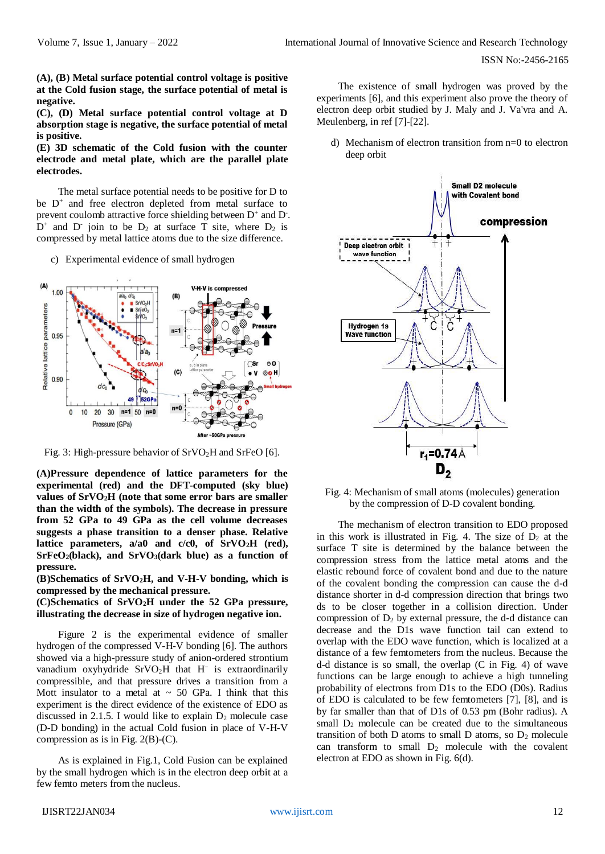**(A), (B) Metal surface potential control voltage is positive at the Cold fusion stage, the surface potential of metal is negative.** 

**(C), (D) Metal surface potential control voltage at D absorption stage is negative, the surface potential of metal is positive.** 

**(E) 3D schematic of the Cold fusion with the counter electrode and metal plate, which are the parallel plate electrodes.**

The metal surface potential needs to be positive for D to be D<sup>+</sup> and free electron depleted from metal surface to prevent coulomb attractive force shielding between  $D^+$  and  $D^-$ .  $D^+$  and  $D^-$  join to be  $D_2$  at surface T site, where  $D_2$  is compressed by metal lattice atoms due to the size difference.

c) Experimental evidence of small hydrogen



Fig. 3: High-pressure behavior of  $SrVO<sub>2</sub>H$  and  $SrFeO$  [6].

**(A)Pressure dependence of lattice parameters for the experimental (red) and the DFT-computed (sky blue) values of SrVO2H (note that some error bars are smaller than the width of the symbols). The decrease in pressure from 52 GPa to 49 GPa as the cell volume decreases suggests a phase transition to a denser phase. Relative lattice parameters, a/a0 and c/c0, of SrVO2H (red), SrFeO2(black), and SrVO3(dark blue) as a function of pressure.** 

**(B)Schematics of SrVO2H, and V-H-V bonding, which is compressed by the mechanical pressure.**

## **(C)Schematics of SrVO2H under the 52 GPa pressure, illustrating the decrease in size of hydrogen negative ion.**

Figure 2 is the experimental evidence of smaller hydrogen of the compressed V-H-V bonding [6]. The authors showed via a high-pressure study of anion-ordered strontium vanadium oxyhydride SrVO2H that H<sup>−</sup> is extraordinarily compressible, and that pressure drives a transition from a Mott insulator to a metal at  $\sim$  50 GPa. I think that this experiment is the direct evidence of the existence of EDO as discussed in 2.1.5. I would like to explain  $D_2$  molecule case (D-D bonding) in the actual Cold fusion in place of V-H-V compression as is in Fig.  $2(B)-(C)$ .

As is explained in Fig.1, Cold Fusion can be explained by the small hydrogen which is in the electron deep orbit at a few femto meters from the nucleus.

The existence of small hydrogen was proved by the experiments [6], and this experiment also prove the theory of electron deep orbit studied by J. Maly and J. Va'vra and A. Meulenberg, in ref [7]-[22].

d) Mechanism of electron transition from n=0 to electron deep orbit



Fig. 4: Mechanism of small atoms (molecules) generation by the compression of D-D covalent bonding.

The mechanism of electron transition to EDO proposed in this work is illustrated in Fig. 4. The size of  $D_2$  at the surface T site is determined by the balance between the compression stress from the lattice metal atoms and the elastic rebound force of covalent bond and due to the nature of the covalent bonding the compression can cause the d-d distance shorter in d-d compression direction that brings two ds to be closer together in a collision direction. Under compression of  $D_2$  by external pressure, the d-d distance can decrease and the D1s wave function tail can extend to overlap with the EDO wave function, which is localized at a distance of a few femtometers from the nucleus. Because the d-d distance is so small, the overlap (C in Fig. 4) of wave functions can be large enough to achieve a high tunneling probability of electrons from D1s to the EDO (D0s). Radius of EDO is calculated to be few femtometers [7], [8], and is by far smaller than that of D1s of 0.53 pm (Bohr radius). A small  $D_2$  molecule can be created due to the simultaneous transition of both D atoms to small D atoms, so  $D_2$  molecule can transform to small  $D_2$  molecule with the covalent electron at EDO as shown in Fig. 6(d).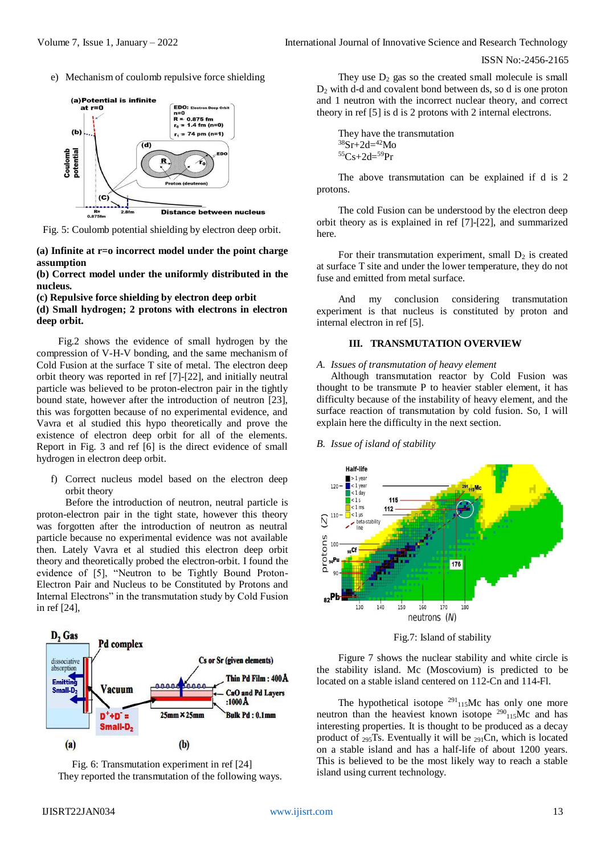e) Mechanism of coulomb repulsive force shielding



Fig. 5: Coulomb potential shielding by electron deep orbit.

**(a) Infinite at r=o incorrect model under the point charge assumption**

**(b) Correct model under the uniformly distributed in the nucleus.**

**(c) Repulsive force shielding by electron deep orbit**

**(d) Small hydrogen; 2 protons with electrons in electron deep orbit.**

Fig.2 shows the evidence of small hydrogen by the compression of V-H-V bonding, and the same mechanism of Cold Fusion at the surface T site of metal. The electron deep orbit theory was reported in ref [7]-[22], and initially neutral particle was believed to be proton-electron pair in the tightly bound state, however after the introduction of neutron [23], this was forgotten because of no experimental evidence, and Vavra et al studied this hypo theoretically and prove the existence of electron deep orbit for all of the elements. Report in Fig. 3 and ref [6] is the direct evidence of small hydrogen in electron deep orbit.

f) Correct nucleus model based on the electron deep orbit theory

Before the introduction of neutron, neutral particle is proton-electron pair in the tight state, however this theory was forgotten after the introduction of neutron as neutral particle because no experimental evidence was not available then. Lately Vavra et al studied this electron deep orbit theory and theoretically probed the electron-orbit. I found the evidence of [5], "Neutron to be Tightly Bound Proton-Electron Pair and Nucleus to be Constituted by Protons and Internal Electrons" in the transmutation study by Cold Fusion in ref [24],





They use  $D_2$  gas so the created small molecule is small D<sup>2</sup> with d-d and covalent bond between ds, so d is one proton and 1 neutron with the incorrect nuclear theory, and correct theory in ref [5] is d is 2 protons with 2 internal electrons.

```
They have the transmutation 
38Sr+2d=42Mo{}^{55}Cs + 2d = {}^{59}Pr
```
The above transmutation can be explained if d is 2 protons.

The cold Fusion can be understood by the electron deep orbit theory as is explained in ref [7]-[22], and summarized here.

For their transmutation experiment, small  $D_2$  is created at surface T site and under the lower temperature, they do not fuse and emitted from metal surface.

And my conclusion considering transmutation experiment is that nucleus is constituted by proton and internal electron in ref [5].

# **III. TRANSMUTATION OVERVIEW**

### *A. Issues of transmutation of heavy element*

Although transmutation reactor by Cold Fusion was thought to be transmute P to heavier stabler element, it has difficulty because of the instability of heavy element, and the surface reaction of transmutation by cold fusion. So, I will explain here the difficulty in the next section.

# *B. Issue of island of stability*



Fig.7: Island of stability

Figure 7 shows the nuclear stability and white circle is the stability island. Mc (Moscovium) is predicted to be located on a stable island centered on 112-Cn and 114-Fl.

The hypothetical isotope  $291_{115}$ Mc has only one more neutron than the heaviest known isotope  $290_{115}$ Mc and has interesting properties. It is thought to be produced as a decay product of 295Ts. Eventually it will be 291Cn, which is located on a stable island and has a half-life of about 1200 years. This is believed to be the most likely way to reach a stable island using current technology.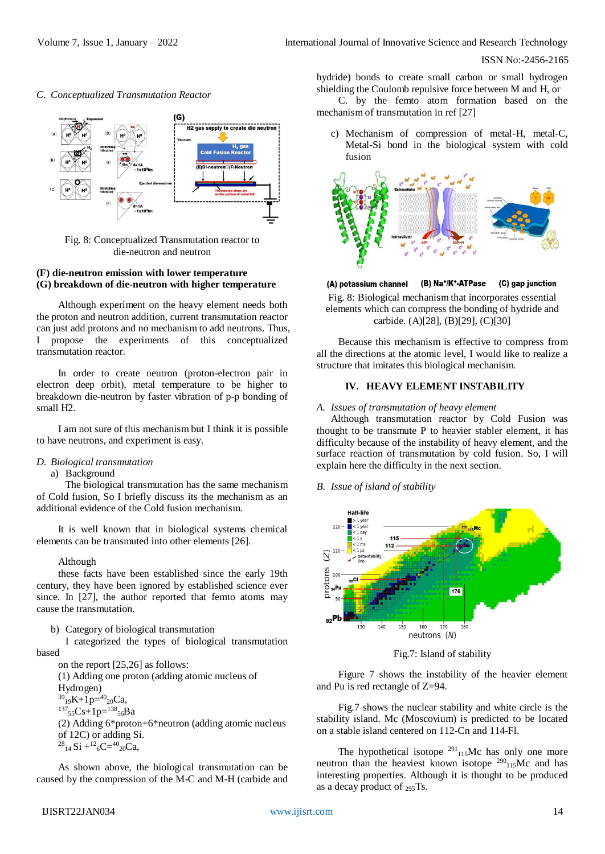



Fig. 8: Conceptualized Transmutation reactor to die-neutron and neutron

## **(F) die-neutron emission with lower temperature (G) breakdown of die-neutron with higher temperature**

Although experiment on the heavy element needs both the proton and neutron addition, current transmutation reactor can just add protons and no mechanism to add neutrons. Thus, I propose the experiments of this conceptualized transmutation reactor.

In order to create neutron (proton-electron pair in electron deep orbit), metal temperature to be higher to breakdown die-neutron by faster vibration of p-p bonding of small H2.

I am not sure of this mechanism but I think it is possible to have neutrons, and experiment is easy.

## *D. Biological transmutation*

### a) Background

The biological transmutation has the same mechanism of Cold fusion, So I briefly discuss its the mechanism as an additional evidence of the Cold fusion mechanism.

It is well known that in biological systems chemical elements can be transmuted into other elements [26].

#### Although

these facts have been established since the early 19th century, they have been ignored by established science ever since. In [27], the author reported that femto atoms may cause the transmutation.

b) Category of biological transmutation

I categorized the types of biological transmutation based

on the report [25,26] as follows:

(1) Adding one proton (adding atomic nucleus of

Hydrogen)  $^{39}$ <sub>19</sub>K+1p= $^{40}$ <sub>20</sub>Ca,  $^{137}$ <sub>55</sub>Cs+1p= $^{138}$ <sub>56</sub>Ba (2) Adding 6\*proton+6\*neutron (adding atomic nucleus

of 12C) or adding Si.  $^{28}$ <sub>14</sub> Si +<sup>12</sup><sub>6</sub>C=<sup>40</sup><sub>20</sub>Ca,

As shown above, the biological transmutation can be caused by the compression of the M-C and M-H (carbide and hydride) bonds to create small carbon or small hydrogen shielding the Coulomb repulsive force between M and H, or

C. by the femto atom formation based on the mechanism of transmutation in ref [27]

c) Mechanism of compression of metal-H, metal-C, Metal-Si bond in the biological system with cold fusion



(B) Na<sup>+</sup>/K<sup>+</sup>-ATPase (A) potassium channel (C) gap junction Fig. 8: Biological mechanism that incorporates essential elements which can compress the bonding of hydride and carbide. (A)[28], (B)[29], (C)[30]

Because this mechanism is effective to compress from all the directions at the atomic level, I would like to realize a structure that imitates this biological mechanism.

## **IV. HEAVY ELEMENT INSTABILITY**

#### *A. Issues of transmutation of heavy element*

Although transmutation reactor by Cold Fusion was thought to be transmute P to heavier stabler element, it has difficulty because of the instability of heavy element, and the surface reaction of transmutation by cold fusion. So, I will explain here the difficulty in the next section.

*B. Issue of island of stability*



Fig.7: Island of stability

Figure 7 shows the instability of the heavier element and Pu is red rectangle of Z=94.

Fig.7 shows the nuclear stability and white circle is the stability island. Mc (Moscovium) is predicted to be located on a stable island centered on 112-Cn and 114-Fl.

The hypothetical isotope  $291_{115}$ Mc has only one more neutron than the heaviest known isotope  $290_{115}$ Mc and has interesting properties. Although it is thought to be produced as a decay product of 295Ts.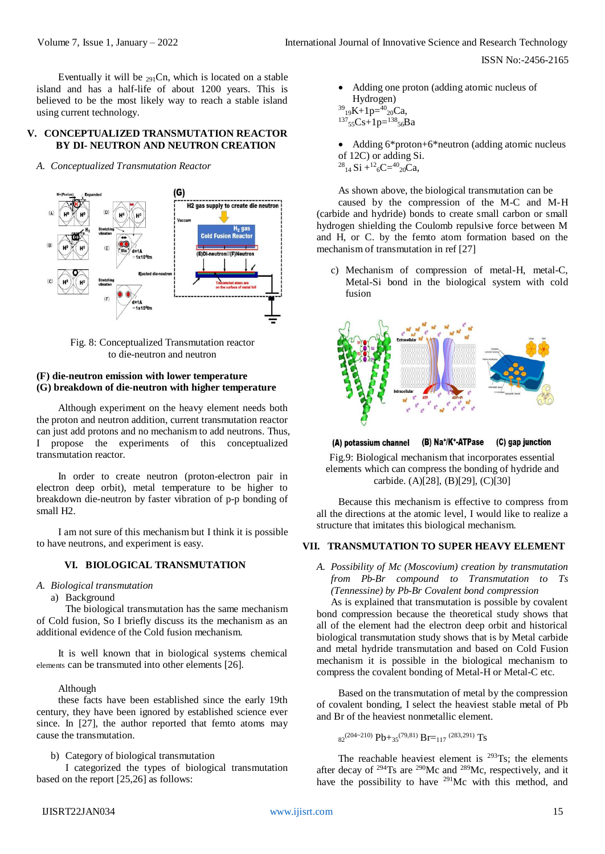Eventually it will be  $_{291}$ Cn, which is located on a stable island and has a half-life of about 1200 years. This is believed to be the most likely way to reach a stable island using current technology.

## **V. CONCEPTUALIZED TRANSMUTATION REACTOR BY DI- NEUTRON AND NEUTRON CREATION**

*A. Conceptualized Transmutation Reactor*



Fig. 8: Conceptualized Transmutation reactor to die-neutron and neutron

## **(F) die-neutron emission with lower temperature (G) breakdown of die-neutron with higher temperature**

Although experiment on the heavy element needs both the proton and neutron addition, current transmutation reactor can just add protons and no mechanism to add neutrons. Thus, I propose the experiments of this conceptualized transmutation reactor.

In order to create neutron (proton-electron pair in electron deep orbit), metal temperature to be higher to breakdown die-neutron by faster vibration of p-p bonding of small H2.

I am not sure of this mechanism but I think it is possible to have neutrons, and experiment is easy.

## **VI. BIOLOGICAL TRANSMUTATION**

- *A. Biological transmutation*
	- a) Background

The biological transmutation has the same mechanism of Cold fusion, So I briefly discuss its the mechanism as an additional evidence of the Cold fusion mechanism.

It is well known that in biological systems chemical elements can be transmuted into other elements [26].

### Although

these facts have been established since the early 19th century, they have been ignored by established science ever since. In [27], the author reported that femto atoms may cause the transmutation.

b) Category of biological transmutation

I categorized the types of biological transmutation based on the report [25,26] as follows:

 Adding one proton (adding atomic nucleus of Hydrogen)  $^{39}$ <sub>19</sub>K+1p= $^{40}$ <sub>20</sub>Ca,

 $^{137}$ <sub>55</sub>Cs+1p= $^{138}$ <sub>56</sub>Ba

• Adding 6\*proton+6\*neutron (adding atomic nucleus of 12C) or adding Si.  $^{28}$ <sub>14</sub> Si +<sup>12</sup><sub>6</sub>C=<sup>40</sup><sub>20</sub>Ca,

As shown above, the biological transmutation can be

caused by the compression of the M-C and M-H (carbide and hydride) bonds to create small carbon or small hydrogen shielding the Coulomb repulsive force between M and H, or C. by the femto atom formation based on the mechanism of transmutation in ref [27]

c) Mechanism of compression of metal-H, metal-C, Metal-Si bond in the biological system with cold fusion



(B) Na<sup>+</sup>/K<sup>+</sup>-ATPase (A) potassium channel (C) gap junction

Fig.9: Biological mechanism that incorporates essential elements which can compress the bonding of hydride and carbide. (A)[28], (B)[29], (C)[30]

Because this mechanism is effective to compress from all the directions at the atomic level, I would like to realize a structure that imitates this biological mechanism.

# **VII. TRANSMUTATION TO SUPER HEAVY ELEMENT**

*A. Possibility of Mc (Moscovium) creation by transmutation from Pb-Br compound to Transmutation to Ts (Tennessine) by Pb-Br Covalent bond compression*

As is explained that transmutation is possible by covalent bond compression because the theoretical study shows that all of the element had the electron deep orbit and historical biological transmutation study shows that is by Metal carbide and metal hydride transmutation and based on Cold Fusion mechanism it is possible in the biological mechanism to compress the covalent bonding of Metal-H or Metal-C etc.

Based on the transmutation of metal by the compression of covalent bonding, I select the heaviest stable metal of Pb and Br of the heaviest nonmetallic element.

 $s_2^{(204-210)}$  Pb+ $s_5^{(79,81)}$  Br= $_{117}$   $^{(283,291)}$  Ts

The reachable heaviest element is  $293$ Ts; the elements after decay of <sup>294</sup>Ts are <sup>290</sup>Mc and <sup>289</sup>Mc, respectively, and it have the possibility to have <sup>291</sup>Mc with this method, and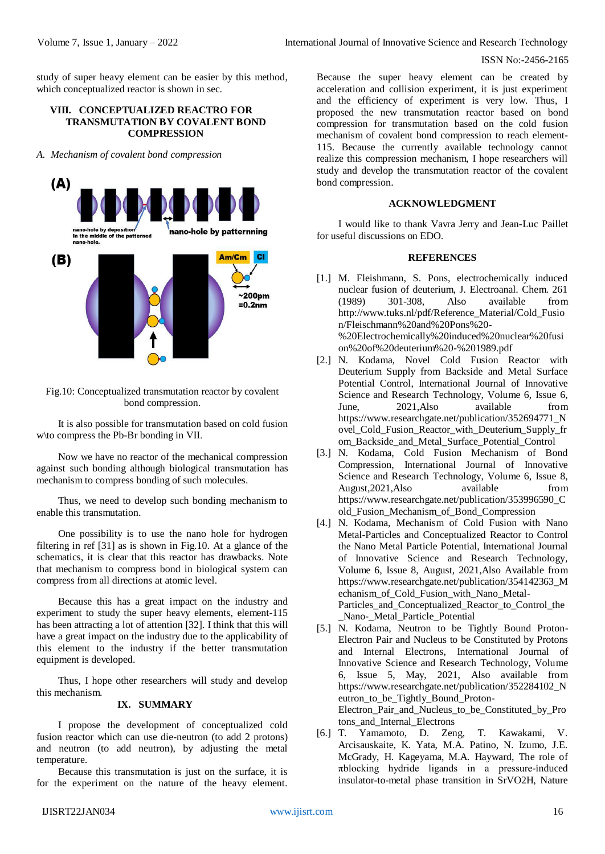study of super heavy element can be easier by this method, which conceptualized reactor is shown in sec.

## **VIII. CONCEPTUALIZED REACTRO FOR TRANSMUTATION BY COVALENT BOND COMPRESSION**

*A. Mechanism of covalent bond compression*



Fig.10: Conceptualized transmutation reactor by covalent bond compression.

It is also possible for transmutation based on cold fusion w\to compress the Pb-Br bonding in Ⅶ.

Now we have no reactor of the mechanical compression against such bonding although biological transmutation has mechanism to compress bonding of such molecules.

Thus, we need to develop such bonding mechanism to enable this transmutation.

One possibility is to use the nano hole for hydrogen filtering in ref [31] as is shown in Fig.10. At a glance of the schematics, it is clear that this reactor has drawbacks. Note that mechanism to compress bond in biological system can compress from all directions at atomic level.

Because this has a great impact on the industry and experiment to study the super heavy elements, element-115 has been attracting a lot of attention [32]. I think that this will have a great impact on the industry due to the applicability of this element to the industry if the better transmutation equipment is developed.

Thus, I hope other researchers will study and develop this mechanism.

# **IX. SUMMARY**

I propose the development of conceptualized cold fusion reactor which can use die-neutron (to add 2 protons) and neutron (to add neutron), by adjusting the metal temperature.

Because this transmutation is just on the surface, it is for the experiment on the nature of the heavy element.

Because the super heavy element can be created by acceleration and collision experiment, it is just experiment and the efficiency of experiment is very low. Thus, I proposed the new transmutation reactor based on bond compression for transmutation based on the cold fusion mechanism of covalent bond compression to reach element-115. Because the currently available technology cannot realize this compression mechanism, I hope researchers will study and develop the transmutation reactor of the covalent bond compression.

## **ACKNOWLEDGMENT**

I would like to thank Vavra Jerry and Jean-Luc Paillet for useful discussions on EDO.

## **REFERENCES**

- [1.] M. Fleishmann, S. Pons, electrochemically induced nuclear fusion of deuterium, J. Electroanal. Chem. 261 (1989) 301-308, Also available from [http://www.tuks.nl/pdf/Reference\\_Material/Cold\\_Fusio](http://www.tuks.nl/pdf/Reference_Material/Cold_Fusio%20n/Fleischmann%20and%20Pons%20-%20%20Electrochemically%20induced%20nuclear%20fusi%20on%20of%20deuterium%20-%201989.pdf)  [n/Fleischmann%20and%20Pons%20-](http://www.tuks.nl/pdf/Reference_Material/Cold_Fusio%20n/Fleischmann%20and%20Pons%20-%20%20Electrochemically%20induced%20nuclear%20fusi%20on%20of%20deuterium%20-%201989.pdf) [%20Electrochemically%20induced%20nuclear%20fusi](http://www.tuks.nl/pdf/Reference_Material/Cold_Fusio%20n/Fleischmann%20and%20Pons%20-%20%20Electrochemically%20induced%20nuclear%20fusi%20on%20of%20deuterium%20-%201989.pdf)  [on%20of%20deuterium%20-%201989.pdf](http://www.tuks.nl/pdf/Reference_Material/Cold_Fusio%20n/Fleischmann%20and%20Pons%20-%20%20Electrochemically%20induced%20nuclear%20fusi%20on%20of%20deuterium%20-%201989.pdf)
- [2.] N. Kodama, Novel Cold Fusion Reactor with Deuterium Supply from Backside and Metal Surface Potential Control, International Journal of Innovative Science and Research Technology, Volume 6, Issue 6, June, 2021,Also available from [https://www.researchgate.net/publication/352694771\\_N](https://www.researchgate.net/publication/352694771_Novel_Cold_Fusion_Reactor_with_Deuterium_Supply_from_Backside_and_Metal_Surface_Potential_Control) ovel Cold Fusion Reactor with Deuterium Supply fr [om\\_Backside\\_and\\_Metal\\_Surface\\_Potential\\_Control](https://www.researchgate.net/publication/352694771_Novel_Cold_Fusion_Reactor_with_Deuterium_Supply_from_Backside_and_Metal_Surface_Potential_Control)
- [3.] N. Kodama, Cold Fusion Mechanism of Bond Compression, International Journal of Innovative Science and Research Technology, Volume 6, Issue 8, August,2021,Also available from [https://www.researchgate.net/publication/353996590\\_C](https://www.researchgate.net/publication/353996590_Cold_Fusion_Mechanism_of_Bond_Compression) [old\\_Fusion\\_Mechanism\\_of\\_Bond\\_Compression](https://www.researchgate.net/publication/353996590_Cold_Fusion_Mechanism_of_Bond_Compression)
- [4.] N. Kodama, Mechanism of Cold Fusion with Nano Metal-Particles and Conceptualized Reactor to Control the Nano Metal Particle Potential, International Journal of Innovative Science and Research Technology, Volume 6, Issue 8, August, 2021,Also Available from [https://www.researchgate.net/publication/354142363\\_M](https://www.researchgate.net/publication/354142363_Mechanism_of_Cold_Fusion_with_Nano_Metal-Particles_and_Conceptualized_Reactor_to_Control_the_Nano-_Metal_Particle_Potential) [echanism\\_of\\_Cold\\_Fusion\\_with\\_Nano\\_Metal-](https://www.researchgate.net/publication/354142363_Mechanism_of_Cold_Fusion_with_Nano_Metal-Particles_and_Conceptualized_Reactor_to_Control_the_Nano-_Metal_Particle_Potential)[Particles\\_and\\_Conceptualized\\_Reactor\\_to\\_Control\\_the](https://www.researchgate.net/publication/354142363_Mechanism_of_Cold_Fusion_with_Nano_Metal-Particles_and_Conceptualized_Reactor_to_Control_the_Nano-_Metal_Particle_Potential) Nano- Metal Particle Potential
- [5.] N. Kodama, Neutron to be Tightly Bound Proton-Electron Pair and Nucleus to be Constituted by Protons and Internal Electrons, International Journal of Innovative Science and Research Technology, Volume 6, Issue 5, May, 2021, Also available from [https://www.researchgate.net/publication/352284102\\_N](https://www.researchgate.net/publication/352284102_Neutron_to_be_Tightly_Bound_Proton-Electron_Pair_and_Nucleus_to_be_Constituted_by_Protons_and_Internal_Electrons) [eutron\\_to\\_be\\_Tightly\\_Bound\\_Proton-](https://www.researchgate.net/publication/352284102_Neutron_to_be_Tightly_Bound_Proton-Electron_Pair_and_Nucleus_to_be_Constituted_by_Protons_and_Internal_Electrons)[Electron\\_Pair\\_and\\_Nucleus\\_to\\_be\\_Constituted\\_by\\_Pro](https://www.researchgate.net/publication/352284102_Neutron_to_be_Tightly_Bound_Proton-Electron_Pair_and_Nucleus_to_be_Constituted_by_Protons_and_Internal_Electrons) [tons\\_and\\_Internal\\_Electrons](https://www.researchgate.net/publication/352284102_Neutron_to_be_Tightly_Bound_Proton-Electron_Pair_and_Nucleus_to_be_Constituted_by_Protons_and_Internal_Electrons)
- [6.] T. Yamamoto, D. Zeng, T. Kawakami, V. Arcisauskaite, K. Yata, M.A. Patino, N. Izumo, J.E. McGrady, H. Kageyama, M.A. Hayward, The role of πblocking hydride ligands in a pressure-induced insulator-to-metal phase transition in SrVO2H, Nature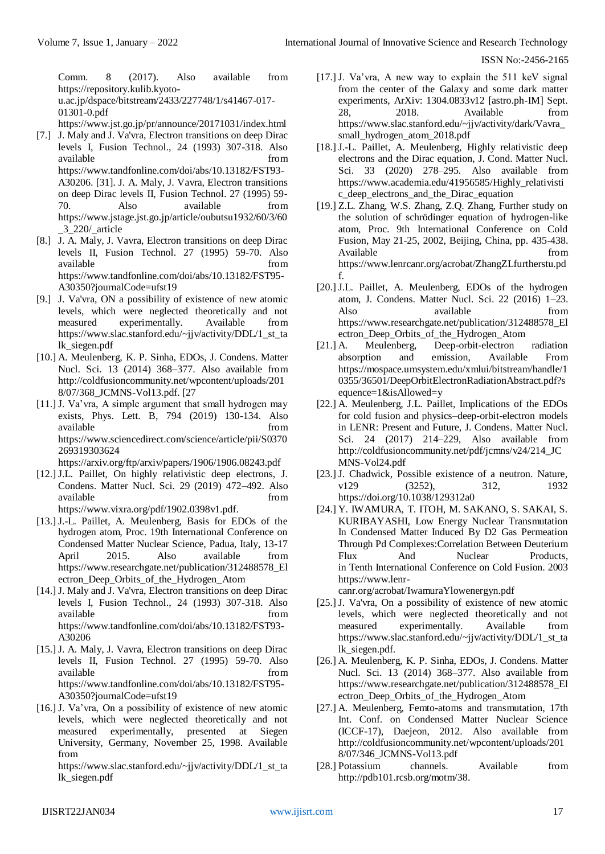Comm. 8 (2017). Also available from [https://repository.kulib.kyoto](https://repository.kulib.kyoto-u.ac.jp/dspace/bitstream/2433/227748/1/s41467-017-01301-0.pdf)[u.ac.jp/dspace/bitstream/2433/227748/1/s41467-017-](https://repository.kulib.kyoto-u.ac.jp/dspace/bitstream/2433/227748/1/s41467-017-01301-0.pdf) [01301-0.pdf](https://repository.kulib.kyoto-u.ac.jp/dspace/bitstream/2433/227748/1/s41467-017-01301-0.pdf)

<https://www.jst.go.jp/pr/announce/20171031/index.html>

- [7.] J. Maly and J. Va'vra, Electron transitions on deep Dirac levels I, Fusion Technol., 24 (1993) 307-318. Also available from  $\sim$  from  $\sim$  from  $\sim$ https://www.tandfonline.com/doi/abs/10.13182/FST93- A30206. [31]. J. A. Maly, J. Vavra, Electron transitions on deep Dirac levels II, Fusion Technol. 27 (1995) 59- 70. Also available from [https://www.jstage.jst.go.jp/article/oubutsu1932/60/3/60](https://www.jstage.jst.go.jp/article/oubutsu1932/60/3/60_3_220/_article) [\\_3\\_220/\\_article](https://www.jstage.jst.go.jp/article/oubutsu1932/60/3/60_3_220/_article)
- [8.] J. A. Maly, J. Vavra, Electron transitions on deep Dirac levels II, Fusion Technol. 27 (1995) 59-70. Also available from  $\sim$  from  $\sim$  from  $\sim$ [https://www.tandfonline.com/doi/abs/10.13182/FST95-](https://www.tandfonline.com/doi/abs/10.13182/FST95-A30350?journalCode=ufst19) [A30350?journalCode=ufst19](https://www.tandfonline.com/doi/abs/10.13182/FST95-A30350?journalCode=ufst19)
- [9.] J. Va'vra, ON a possibility of existence of new atomic levels, which were neglected theoretically and not measured experimentally. Available from [https://www.slac.stanford.edu/~jjv/activity/DDL/1\\_st\\_ta](https://www.slac.stanford.edu/~jjv/activity/DDL/1_st_talk_siegen.pdf) [lk\\_siegen.pdf](https://www.slac.stanford.edu/~jjv/activity/DDL/1_st_talk_siegen.pdf)
- [10.] A. Meulenberg, K. P. Sinha, EDOs, J. Condens. Matter Nucl. Sci. 13 (2014) 368–377. Also available from [http://coldfusioncommunity.net/wpcontent/uploads/201](http://coldfusioncommunity.net/wpcontent/uploads/2018/07/368_JCMNS-Vol13.pdf.%20%5b27) [8/07/368\\_JCMNS-Vol13.pdf. \[27](http://coldfusioncommunity.net/wpcontent/uploads/2018/07/368_JCMNS-Vol13.pdf.%20%5b27)
- [11.] J. Va'vra, A simple argument that small hydrogen may exists, Phys. Lett. B, 794 (2019) 130-134. Also available from  $\blacksquare$ https://www.sciencedirect.com/science/article/pii/S0370 269319303624

<https://arxiv.org/ftp/arxiv/papers/1906/1906.08243.pdf>

- [12.] J.L. Paillet, On highly relativistic deep electrons, J. Condens. Matter Nucl. Sci. 29 (2019) 472–492. Also available from the state of  $\mathfrak{g}$  available [https://www.vixra.org/pdf/1902.0398v1.pdf.](https://www.vixra.org/pdf/1902.0398v1.pdf)
- [13.] J.-L. Paillet, A. Meulenberg, Basis for EDOs of the hydrogen atom, Proc. 19th International Conference on Condensed Matter Nuclear Science, Padua, Italy, 13-17 April 2015. Also available from [https://www.researchgate.net/publication/312488578\\_El](https://www.researchgate.net/publication/312488578_Electron_Deep_Orbits_of_the_Hydrogen_Atom) [ectron\\_Deep\\_Orbits\\_of\\_the\\_Hydrogen\\_Atom](https://www.researchgate.net/publication/312488578_Electron_Deep_Orbits_of_the_Hydrogen_Atom)
- [14.] J. Maly and J. Va'vra, Electron transitions on deep Dirac levels I, Fusion Technol., 24 (1993) 307-318. Also available from  $\blacksquare$ [https://www.tandfonline.com/doi/abs/10.13182/FST93-](https://www.tandfonline.com/doi/abs/10.13182/FST93-A30206) [A30206](https://www.tandfonline.com/doi/abs/10.13182/FST93-A30206)
- [15.] J. A. Maly, J. Vavra, Electron transitions on deep Dirac levels II, Fusion Technol. 27 (1995) 59-70. Also available from the from the state of  $\mathbf{r}$  available from the state of  $\mathbf{r}$ [https://www.tandfonline.com/doi/abs/10.13182/FST95-](https://www.tandfonline.com/doi/abs/10.13182/FST95-A30350?journalCode=ufst19) [A30350?journalCode=ufst19](https://www.tandfonline.com/doi/abs/10.13182/FST95-A30350?journalCode=ufst19)
- [16.] J. Va'vra, On a possibility of existence of new atomic levels, which were neglected theoretically and not measured experimentally, presented at Siegen University, Germany, November 25, 1998. Available from

[https://www.slac.stanford.edu/~jjv/activity/DDL/1\\_st\\_ta](https://www.slac.stanford.edu/~jjv/activity/DDL/1_st_talk_siegen.pdf) [lk\\_siegen.pdf](https://www.slac.stanford.edu/~jjv/activity/DDL/1_st_talk_siegen.pdf)

- [17.] J. Va'vra, A new way to explain the 511 keV signal from the center of the Galaxy and some dark matter experiments, ArXiv: 1304.0833v12 [astro.ph-IM] Sept. 28, 2018. Available from [https://www.slac.stanford.edu/~jjv/activity/dark/Vavra\\_](https://www.slac.stanford.edu/~jjv/activity/dark/Vavra_small_hydrogen_atom_2018.pdf) [small\\_hydrogen\\_atom\\_2018.pdf](https://www.slac.stanford.edu/~jjv/activity/dark/Vavra_small_hydrogen_atom_2018.pdf)
- [18.] J.-L. Paillet, A. Meulenberg, Highly relativistic deep electrons and the Dirac equation, J. Cond. Matter Nucl. Sci. 33 (2020) 278–295. Also available from [https://www.academia.edu/41956585/Highly\\_relativisti](https://www.academia.edu/41956585/Highly_relativistic_deep_electrons_and_the_Dirac_equation) [c\\_deep\\_electrons\\_and\\_the\\_Dirac\\_equation](https://www.academia.edu/41956585/Highly_relativistic_deep_electrons_and_the_Dirac_equation)
- [19.] Z.L. Zhang, W.S. Zhang, Z.Q. Zhang, Further study on the solution of schrödinger equation of hydrogen-like atom, Proc. 9th International Conference on Cold Fusion, May 21-25, 2002, Beijing, China, pp. 435-438. Available from the from the state of  $\mathbb{R}^n$ [https://www.lenrcanr.org/acrobat/ZhangZLfurtherstu.pd](https://www.lenrcanr.org/acrobat/ZhangZLfurtherstu.pdf) [f.](https://www.lenrcanr.org/acrobat/ZhangZLfurtherstu.pdf)
- [20.] J.L. Paillet, A. Meulenberg, EDOs of the hydrogen atom, J. Condens. Matter Nucl. Sci. 22 (2016) 1–23. Also available from [https://www.researchgate.net/publication/312488578\\_El](https://www.researchgate.net/publication/312488578_Electron_Deep_Orbits_of_the_Hydrogen_Atom) [ectron\\_Deep\\_Orbits\\_of\\_the\\_Hydrogen\\_Atom](https://www.researchgate.net/publication/312488578_Electron_Deep_Orbits_of_the_Hydrogen_Atom)
- [21.] A. Meulenberg, Deep-orbit-electron radiation absorption and emission, Available From [https://mospace.umsystem.edu/xmlui/bitstream/handle/1](https://mospace.umsystem.edu/xmlui/bitstream/handle/10355/36501/DeepOrbitElectronRadiationAbstract.pdf?sequence=1&isAllowed=y) [0355/36501/DeepOrbitElectronRadiationAbstract.pdf?s](https://mospace.umsystem.edu/xmlui/bitstream/handle/10355/36501/DeepOrbitElectronRadiationAbstract.pdf?sequence=1&isAllowed=y) [equence=1&isAllowed=y](https://mospace.umsystem.edu/xmlui/bitstream/handle/10355/36501/DeepOrbitElectronRadiationAbstract.pdf?sequence=1&isAllowed=y)
- [22.] A. Meulenberg, J.L. Paillet, Implications of the EDOs for cold fusion and physics–deep-orbit-electron models in LENR: Present and Future, J. Condens. Matter Nucl. Sci. 24 (2017) 214–229, Also available from [http://coldfusioncommunity.net/pdf/jcmns/v24/214\\_JC](http://coldfusioncommunity.net/pdf/jcmns/v24/214_JCMNS-Vol24.pdf) [MNS-Vol24.pdf](http://coldfusioncommunity.net/pdf/jcmns/v24/214_JCMNS-Vol24.pdf)
- [23.] J. Chadwick, Possible existence of a neutron. Nature, v129 (3252), 312, 1932 <https://doi.org/10.1038/129312a0>
- [24.] Y. IWAMURA, T. ITOH, M. SAKANO, S. SAKAI, S. KURIBAYASHI, Low Energy Nuclear Transmutation In Condensed Matter Induced By D2 Gas Permeation Through Pd Complexes:Correlation Between Deuterium Flux And Nuclear Products, in Tenth International Conference on Cold Fusion. 2003 [https://www.lenr-](https://www.lenr-canr.org/acrobat/IwamuraYlowenergyn.pdf)

[canr.org/acrobat/IwamuraYlowenergyn.pdf](https://www.lenr-canr.org/acrobat/IwamuraYlowenergyn.pdf)

- [25.] J. Va'vra, On a possibility of existence of new atomic levels, which were neglected theoretically and not measured experimentally. Available from [https://www.slac.stanford.edu/~jjv/activity/DDL/1\\_st\\_ta](https://www.slac.stanford.edu/~jjv/activity/DDL/1_st_ta%20lk_siegen.pdf.)  [lk\\_siegen.pdf.](https://www.slac.stanford.edu/~jjv/activity/DDL/1_st_ta%20lk_siegen.pdf.)
- [26.] A. Meulenberg, K. P. Sinha, EDOs, J. Condens. Matter Nucl. Sci. 13 (2014) 368–377. Also available from [https://www.researchgate.net/publication/312488578\\_El](https://www.researchgate.net/publication/312488578_Electron_Deep_Orbits_of_the_Hydrogen_Atom) [ectron\\_Deep\\_Orbits\\_of\\_the\\_Hydrogen\\_Atom](https://www.researchgate.net/publication/312488578_Electron_Deep_Orbits_of_the_Hydrogen_Atom)
- [27.] A. Meulenberg, Femto-atoms and transmutation, 17th Int. Conf. on Condensed Matter Nuclear Science (ICCF-17), Daejeon, 2012. Also available from [http://coldfusioncommunity.net/wpcontent/uploads/201](http://coldfusioncommunity.net/wpcontent/uploads/2018/07/346_JCMNS-Vol13.pdf) [8/07/346\\_JCMNS-Vol13.pdf](http://coldfusioncommunity.net/wpcontent/uploads/2018/07/346_JCMNS-Vol13.pdf)
- [28.] Potassium channels. Available from [http://pdb101.rcsb.org/motm/38.](http://pdb101.rcsb.org/motm/38)